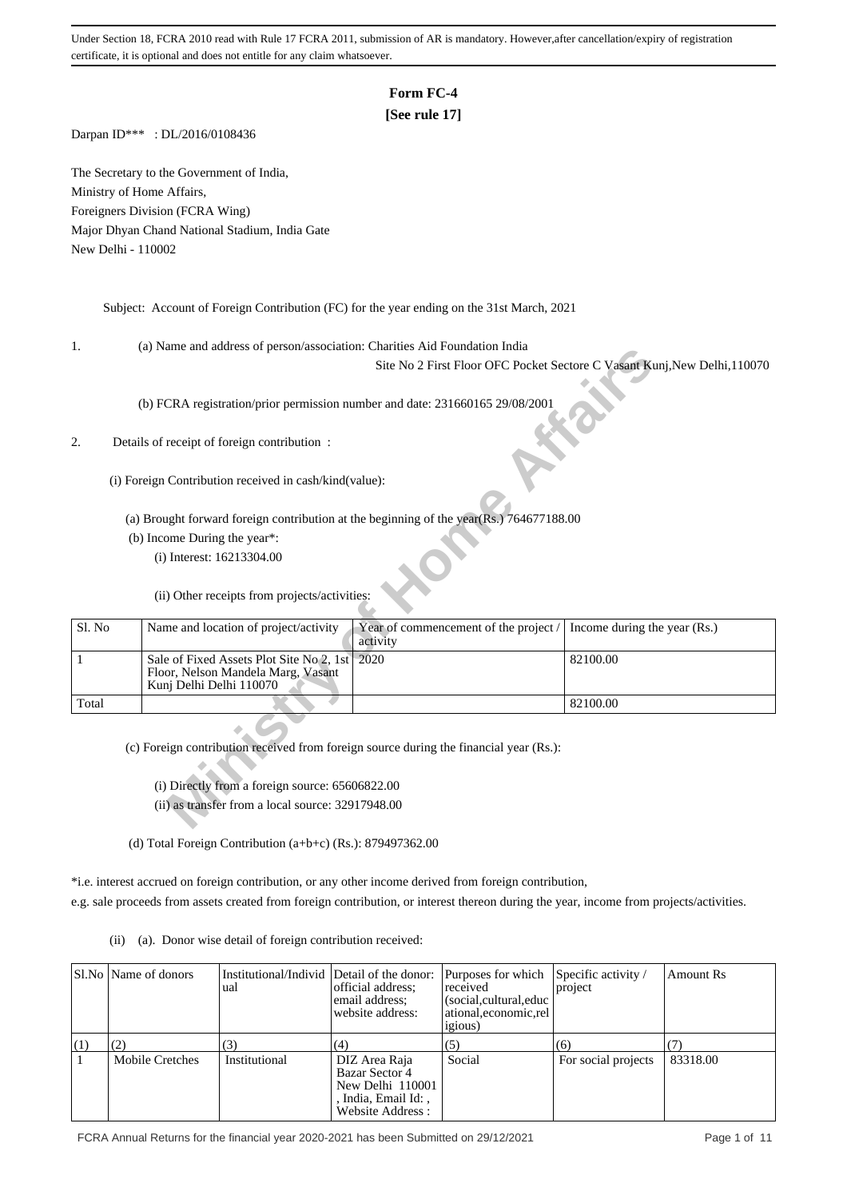# **Form FC-4**

## **[See rule 17]**

Darpan ID\*\*\* : DL/2016/0108436

The Secretary to the Government of India, Ministry of Home Affairs, Foreigners Division (FCRA Wing) Major Dhyan Chand National Stadium, India Gate New Delhi - 110002

Subject: Account of Foreign Contribution (FC) for the year ending on the 31st March, 2021

1. (a) Name and address of person/association: Charities Aid Foundation India

### 2. Details of receipt of foreign contribution :

| ι.     | (a) ivalue and address of person/association. Charlies Ald Foundation mula              |                                       |                                                                           |
|--------|-----------------------------------------------------------------------------------------|---------------------------------------|---------------------------------------------------------------------------|
|        |                                                                                         |                                       | Site No 2 First Floor OFC Pocket Sectore C Vasant Kunj, New Delhi, 110070 |
|        |                                                                                         |                                       |                                                                           |
|        | (b) FCRA registration/prior permission number and date: 231660165 29/08/2001            |                                       |                                                                           |
|        |                                                                                         |                                       |                                                                           |
|        |                                                                                         |                                       |                                                                           |
| 2.     | Details of receipt of foreign contribution:                                             |                                       |                                                                           |
|        |                                                                                         |                                       |                                                                           |
|        | (i) Foreign Contribution received in cash/kind(value):                                  |                                       |                                                                           |
|        |                                                                                         |                                       |                                                                           |
|        |                                                                                         |                                       |                                                                           |
|        | (a) Brought forward foreign contribution at the beginning of the year(Rs.) 764677188.00 |                                       |                                                                           |
|        | (b) Income During the year*:                                                            |                                       |                                                                           |
|        | (i) Interest: 16213304.00                                                               |                                       |                                                                           |
|        |                                                                                         |                                       |                                                                           |
|        | (ii) Other receipts from projects/activities:                                           |                                       |                                                                           |
|        |                                                                                         |                                       |                                                                           |
| Sl. No | Name and location of project/activity                                                   | Year of commencement of the project / | Income during the year (Rs.)                                              |
|        |                                                                                         | activity                              |                                                                           |
| 1      | Sale of Fixed Assets Plot Site No 2, 1st 2020                                           |                                       | 82100.00                                                                  |
|        | Floor, Nelson Mandela Marg, Vasant                                                      |                                       |                                                                           |
|        | Kunj Delhi Delhi 110070                                                                 |                                       |                                                                           |
| Total  |                                                                                         |                                       | 82100.00                                                                  |
|        |                                                                                         |                                       |                                                                           |
|        |                                                                                         |                                       |                                                                           |
|        | (c) Foreign contribution received from foreign source during the financial year (Rs.):  |                                       |                                                                           |
|        |                                                                                         |                                       |                                                                           |
|        | (i) Directly from a foreign source: 65606822.00                                         |                                       |                                                                           |
|        | (ii) as transfer from a local source: 32917948.00                                       |                                       |                                                                           |
|        |                                                                                         |                                       |                                                                           |
|        |                                                                                         |                                       |                                                                           |

(d) Total Foreign Contribution (a+b+c) (Rs.): 879497362.00

\*i.e. interest accrued on foreign contribution, or any other income derived from foreign contribution, e.g. sale proceeds from assets created from foreign contribution, or interest thereon during the year, income from projects/activities.

(ii) (a). Donor wise detail of foreign contribution received:

|     | Sl.No   Name of donors | Institutional/Individ Detail of the donor:<br>ual | official address:<br>email address:<br>website address:                                         | Purposes for which<br>received<br>(social, cultural, educ<br>ational, economic, rel<br><i>igious</i> ) | Specific activity /<br>project | <b>Amount Rs</b> |
|-----|------------------------|---------------------------------------------------|-------------------------------------------------------------------------------------------------|--------------------------------------------------------------------------------------------------------|--------------------------------|------------------|
| (1) |                        | 3                                                 | (4)                                                                                             | (5)                                                                                                    | (6)                            |                  |
|     | Mobile Cretches        | Institutional                                     | DIZ Area Raja<br>Bazar Sector 4<br>New Delhi 110001<br>, India, Email Id: ,<br>Website Address: | Social                                                                                                 | For social projects            | 83318.00         |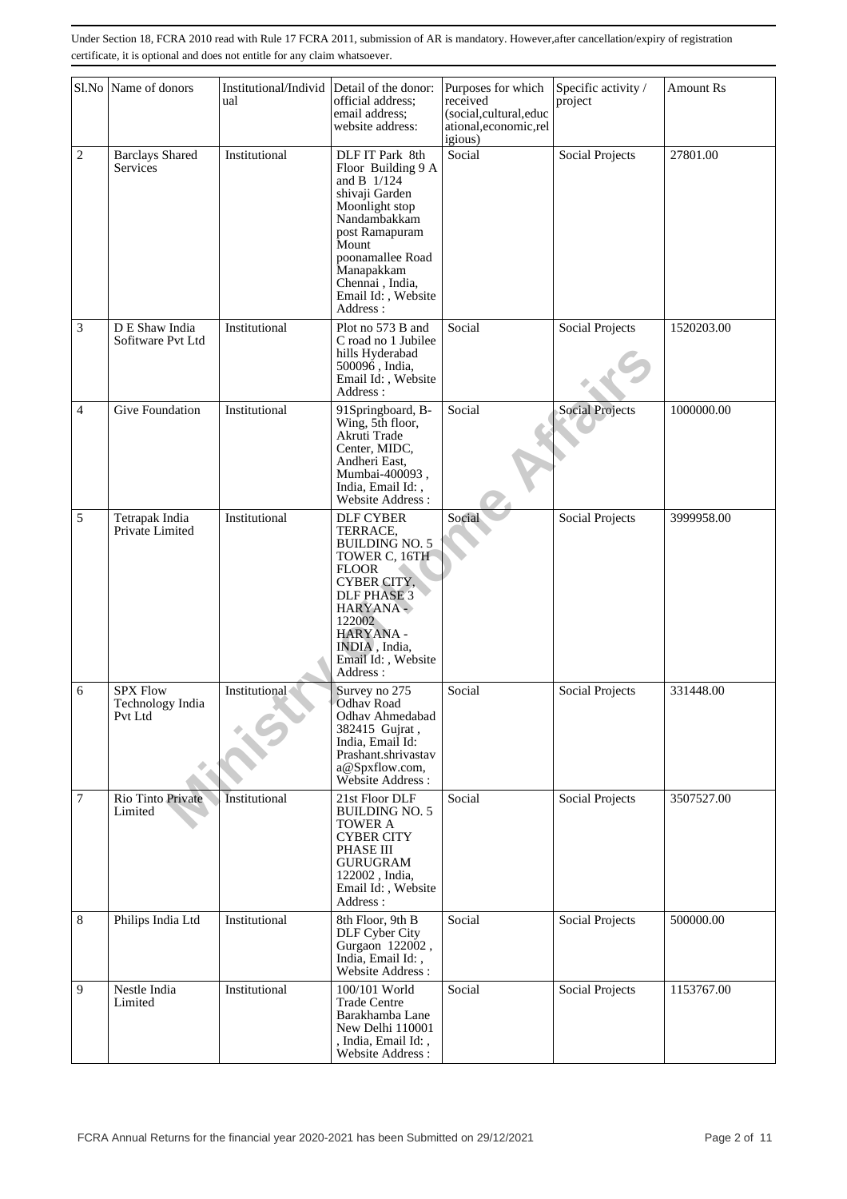|        | Sl.No Name of donors                           | Institutional/Individ<br>ual | Detail of the donor:<br>official address:<br>email address:<br>website address:                                                                                                                                            | Purposes for which<br>received<br>(social,cultural,educ<br>ational, economic, rel<br>igious) | Specific activity /<br>project | Amount Rs  |
|--------|------------------------------------------------|------------------------------|----------------------------------------------------------------------------------------------------------------------------------------------------------------------------------------------------------------------------|----------------------------------------------------------------------------------------------|--------------------------------|------------|
| 2      | <b>Barclays Shared</b><br>Services             | Institutional                | DLF IT Park 8th<br>Floor Building 9 A<br>and B 1/124<br>shivaji Garden<br>Moonlight stop<br>Nandambakkam<br>post Ramapuram<br>Mount<br>poonamallee Road<br>Manapakkam<br>Chennai, India,<br>Email Id:, Website<br>Address: | Social                                                                                       | Social Projects                | 27801.00   |
| 3      | D E Shaw India<br>Sofitware Pvt Ltd            | Institutional                | Plot no 573 B and<br>C road no 1 Jubilee<br>hills Hyderabad<br>500096, India,<br>Email Id:, Website<br>Address:                                                                                                            | Social                                                                                       | Social Projects                | 1520203.00 |
| 4      | Give Foundation                                | Institutional                | 91Springboard, B-<br>Wing, 5th floor,<br>Akruti Trade<br>Center, MIDC,<br>Andheri East,<br>Mumbai-400093,<br>India, Email Id:,<br>Website Address:                                                                         | Social                                                                                       | <b>Social Projects</b>         | 1000000.00 |
| 5      | Tetrapak India<br>Private Limited              | Institutional                | <b>DLF CYBER</b><br>TERRACE,<br><b>BUILDING NO. 5</b><br>TOWER C, 16TH<br><b>FLOOR</b><br>CYBER CITY,<br><b>DLF PHASE 3</b><br>HARYANA -<br>122002<br>HARYANA -<br>INDIA, India,<br>Email Id:, Website<br>Address:         | Social                                                                                       | Social Projects                | 3999958.00 |
| 6      | <b>SPX Flow</b><br>Technology India<br>Pvt Ltd | Institutional                | Survey no 275<br><b>Odhav Road</b><br>Odhav Ahmedabad<br>382415 Gujrat,<br>India, Email Id:<br>Prashant.shrivastav<br>a@Spxflow.com,<br>Website Address:                                                                   | Social                                                                                       | Social Projects                | 331448.00  |
| $\tau$ | Rio Tinto Private<br>Limited                   | <b>Institutional</b>         | 21st Floor DLF<br><b>BUILDING NO. 5</b><br><b>TOWER A</b><br><b>CYBER CITY</b><br>PHASE III<br><b>GURUGRAM</b><br>122002, India,<br>Email Id:, Website<br>Address:                                                         | Social                                                                                       | Social Projects                | 3507527.00 |
| 8      | Philips India Ltd                              | Institutional                | 8th Floor, 9th B<br>DLF Cyber City<br>Gurgaon 122002,<br>India, Email Id:,<br>Website Address:                                                                                                                             | Social                                                                                       | Social Projects                | 500000.00  |
| 9      | Nestle India<br>Limited                        | Institutional                | 100/101 World<br><b>Trade Centre</b><br>Barakhamba Lane<br>New Delhi 110001<br>, India, Email Id:,<br>Website Address:                                                                                                     | Social                                                                                       | Social Projects                | 1153767.00 |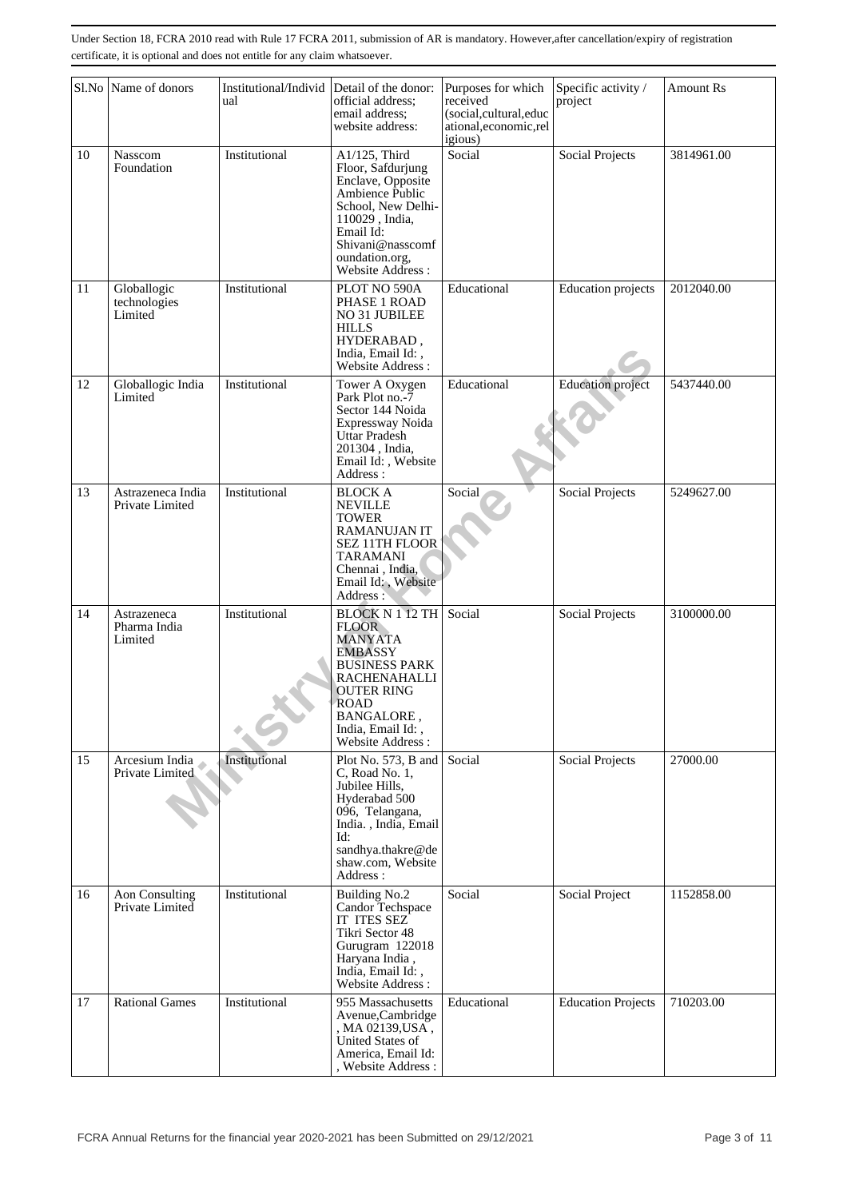|    | Sl.No Name of donors                   | Institutional/Individ | Detail of the donor:                                                                                                                                                                                                 | Purposes for which                                                     | Specific activity /       | <b>Amount Rs</b> |
|----|----------------------------------------|-----------------------|----------------------------------------------------------------------------------------------------------------------------------------------------------------------------------------------------------------------|------------------------------------------------------------------------|---------------------------|------------------|
|    |                                        | ual                   | official address;<br>email address;<br>website address:                                                                                                                                                              | received<br>(social,cultural,educ<br>ational, economic, rel<br>igious) | project                   |                  |
| 10 | Nasscom<br>Foundation                  | Institutional         | A1/125, Third<br>Floor, Safdurjung<br>Enclave, Opposite<br>Ambience Public<br>School, New Delhi-<br>110029, India,<br>Email Id:<br>Shivani@nasscomf<br>oundation.org,<br>Website Address:                            | Social                                                                 | <b>Social Projects</b>    | 3814961.00       |
| 11 | Globallogic<br>technologies<br>Limited | Institutional         | PLOT NO 590A<br>PHASE 1 ROAD<br>NO 31 JUBILEE<br><b>HILLS</b><br>HYDERABAD,<br>India, Email Id:,<br>Website Address:                                                                                                 | Educational                                                            | <b>Education</b> projects | 2012040.00       |
| 12 | Globallogic India<br>Limited           | Institutional         | Tower A Oxygen<br>Park Plot no.-7<br>Sector 144 Noida<br>Expressway Noida<br>Uttar Pradesh<br>201304, India,<br>Email Id:, Website<br>Address:                                                                       | Educational                                                            | Education project         | 5437440.00       |
| 13 | Astrazeneca India<br>Private Limited   | Institutional         | <b>BLOCK A</b><br><b>NEVILLE</b><br><b>TOWER</b><br>RAMANUJAN IT<br>SEZ 11TH FLOOR<br><b>TARAMANI</b><br>Chennai, India,<br>Email Id:, Website<br>Address:                                                           | Social                                                                 | Social Projects           | 5249627.00       |
| 14 | Astrazeneca<br>Pharma India<br>Limited | Institutional         | <b>BLOCK N 1 12 TH</b><br><b>FLOOR</b><br><b>MANYATA</b><br><b>EMBASSY</b><br><b>BUSINESS PARK</b><br><b>RACHENAHALLI</b><br><b>OUTER RING</b><br>ROAD<br><b>BANGALORE,</b><br>India, Email Id:,<br>Website Address: | Social                                                                 | Social Projects           | 3100000.00       |
| 15 | Arcesium India<br>Private Limited      | Institutional         | Plot No. 573, B and<br>C, Road No. 1,<br>Jubilee Hills.<br>Hyderabad 500<br>096, Telangana,<br>India., India, Email<br>Id:<br>sandhya.thakre@de<br>shaw.com, Website<br>Address:                                     | Social                                                                 | Social Projects           | 27000.00         |
| 16 | Aon Consulting<br>Private Limited      | Institutional         | <b>Building No.2</b><br>Candor Techspace<br>IT ITES SEZ<br>Tikri Sector 48<br>Gurugram 122018<br>Haryana India,<br>India, Email Id:,<br>Website Address:                                                             | Social                                                                 | Social Project            | 1152858.00       |
| 17 | <b>Rational Games</b>                  | Institutional         | 955 Massachusetts<br>Avenue, Cambridge<br>, MA 02139, USA,<br>United States of<br>America, Email Id:<br>, Website Address :                                                                                          | Educational                                                            | <b>Education Projects</b> | 710203.00        |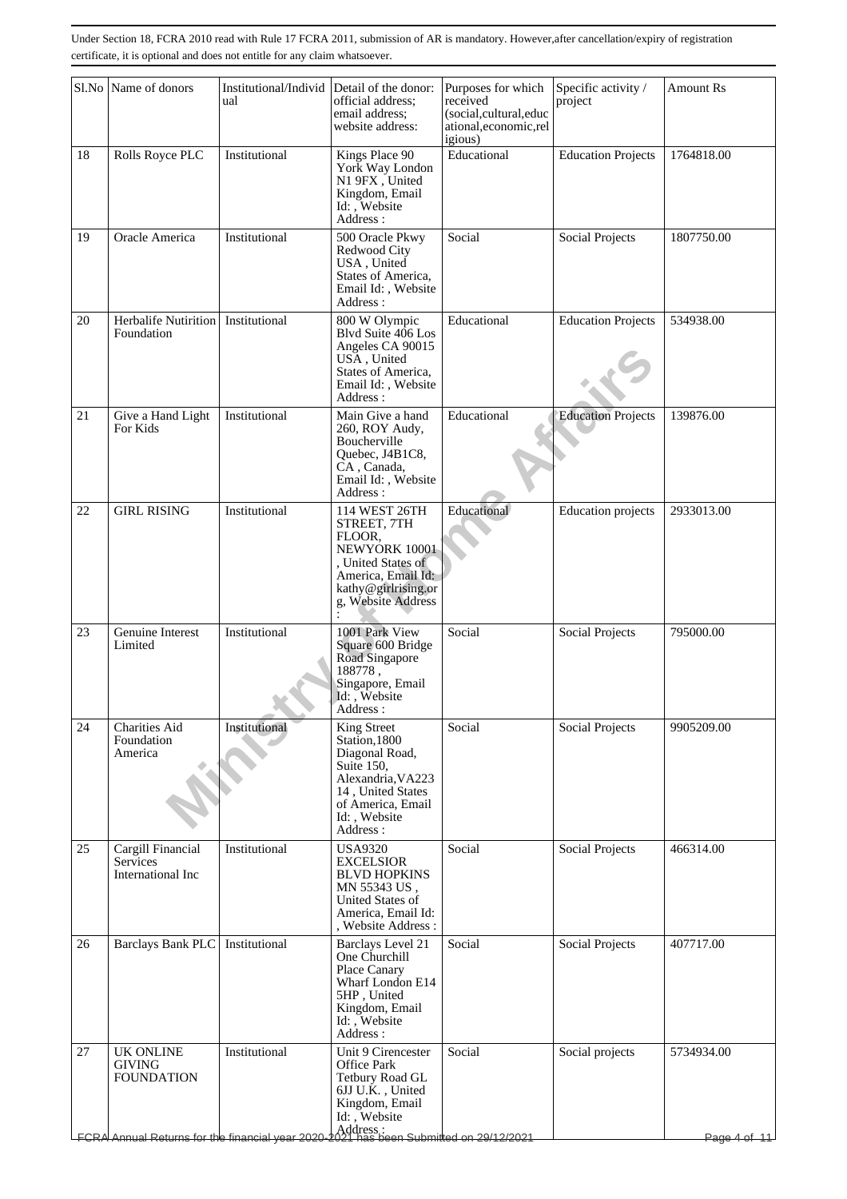|    | Sl.No Name of donors                                                                               | Institutional/Individ<br>ual | Detail of the donor:<br>official address;<br>email address;<br>website address:                                                                                               | Purposes for which<br>received<br>(social,cultural,educ<br>ational, economic, rel<br>igious) | Specific activity /<br>project | <b>Amount Rs</b>        |
|----|----------------------------------------------------------------------------------------------------|------------------------------|-------------------------------------------------------------------------------------------------------------------------------------------------------------------------------|----------------------------------------------------------------------------------------------|--------------------------------|-------------------------|
| 18 | Rolls Royce PLC                                                                                    | Institutional                | Kings Place 90<br>York Way London<br>N1 9FX, United<br>Kingdom, Email<br>Id: Website<br>Address :                                                                             | Educational                                                                                  | <b>Education Projects</b>      | 1764818.00              |
| 19 | Oracle America                                                                                     | Institutional                | 500 Oracle Pkwy<br>Redwood City<br>USA, United<br>States of America,<br>Email Id:, Website<br>Address:                                                                        | Social                                                                                       | Social Projects                | 1807750.00              |
| 20 | Herbalife Nutirition   Institutional<br>Foundation                                                 |                              | 800 W Olympic<br>Blvd Suite 406 Los<br>Angeles CA 90015<br>USA, United<br>States of America,<br>Email Id:, Website<br>Address:                                                | Educational                                                                                  | <b>Education Projects</b>      | 534938.00               |
| 21 | Give a Hand Light<br>For Kids                                                                      | Institutional                | Main Give a hand<br>260, ROY Audy,<br>Boucherville<br>Quebec, J4B1C8,<br>CA, Canada,<br>Email Id:, Website<br>Address :                                                       | Educational                                                                                  | <b>Education Projects</b>      | 139876.00               |
| 22 | <b>GIRL RISING</b>                                                                                 | Institutional                | 114 WEST 26TH<br>STREET, 7TH<br>FLOOR,<br>NEWYORK 10001<br>, United States of<br>America, Email Id:<br>kathy@girlrising.or<br>g, Website Address                              | Educational                                                                                  | <b>Education</b> projects      | 2933013.00              |
| 23 | Genuine Interest<br>Limited                                                                        | Institutional                | 1001 Park View<br>Square 600 Bridge<br>Road Singapore<br>188778,<br>Singapore, Email<br>Id: , Website<br>Address :                                                            | Social                                                                                       | Social Projects                | 795000.00               |
| 24 | Charities Aid<br>Foundation<br>America                                                             | Institutional                | <b>King Street</b><br>Station, 1800<br>Diagonal Road,<br>Suite 150,<br>Alexandria, VA223<br>14, United States<br>of America, Email<br>Id: Website<br>Address :                | Social                                                                                       | Social Projects                | 9905209.00              |
| 25 | Cargill Financial<br>Services<br>International Inc                                                 | Institutional                | <b>USA9320</b><br><b>EXCELSIOR</b><br><b>BLVD HOPKINS</b><br>MN 55343 US,<br><b>United States of</b><br>America, Email Id:<br>, Website Address:                              | Social                                                                                       | <b>Social Projects</b>         | 466314.00               |
| 26 | Barclays Bank PLC                                                                                  | Institutional                | <b>Barclays Level 21</b><br>One Churchill<br>Place Canary<br>Wharf London E14<br>5HP, United<br>Kingdom, Email<br>Id: , Website<br>Address:                                   | Social                                                                                       | <b>Social Projects</b>         | 407717.00               |
| 27 | <b>UK ONLINE</b><br>GIVING<br><b>FOUNDATION</b><br>FCRA Annual Returns for the financial year 2020 | Institutional                | Unit 9 Cirencester<br>Office Park<br>Tetbury Road GL<br>6JJ U.K., United<br>Kingdom, Email<br>Id:, Website<br>  Address :<br><del>2021 has been Submitted on 29/12/2021</del> | Social                                                                                       | Social projects                | 5734934.00<br>Page 4 of |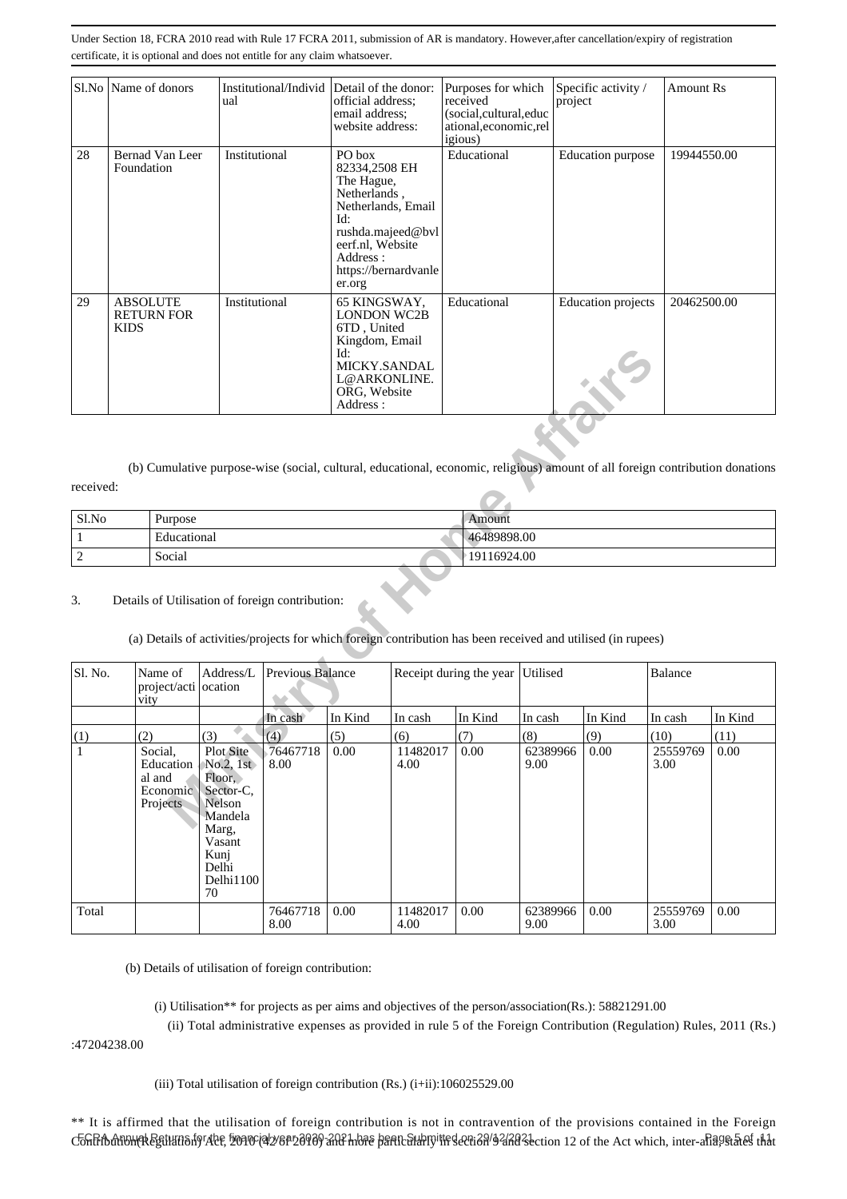|    | Sl.No   Name of donors                              | Institutional/Individ Detail of the donor:<br>ual | official address;<br>email address:<br>website address:                                                                                                                   | Purposes for which<br>received<br>(social,cultural,educ<br>ational, economic, rel<br><i>igious</i> ) | Specific activity /<br>project | <b>Amount Rs</b> |
|----|-----------------------------------------------------|---------------------------------------------------|---------------------------------------------------------------------------------------------------------------------------------------------------------------------------|------------------------------------------------------------------------------------------------------|--------------------------------|------------------|
| 28 | Bernad Van Leer<br>Foundation                       | Institutional                                     | PO box<br>82334,2508 EH<br>The Hague,<br>Netherlands,<br>Netherlands, Email<br>Id:<br>rushda.majeed@bvl<br>eerf.nl, Website<br>Address:<br>https://bernardvanle<br>er.org | Educational                                                                                          | Education purpose              | 19944550.00      |
| 29 | <b>ABSOLUTE</b><br><b>RETURN FOR</b><br><b>KIDS</b> | Institutional                                     | 65 KINGSWAY,<br><b>LONDON WC2B</b><br>6TD, United<br>Kingdom, Email<br>Id:<br>MICKY.SANDAL<br>L@ARKONLINE.<br>ORG, Website<br>Address:                                    | Educational                                                                                          | <b>Education</b> projects      | 20462500.00      |

| Sl.No | Purpose     | Amount      |
|-------|-------------|-------------|
|       | Educational | 46489898.00 |
|       | Social      | 19116924.00 |

### 3. Details of Utilisation of foreign contribution:

|                |                                                                                                                                                                 |                                                                                                                                  |                         | Id:<br>MICKY.SANDAL<br>L@ARKONLINE.<br>ORG, Website<br>Address: |                  |                         |                  |         |                  |         |
|----------------|-----------------------------------------------------------------------------------------------------------------------------------------------------------------|----------------------------------------------------------------------------------------------------------------------------------|-------------------------|-----------------------------------------------------------------|------------------|-------------------------|------------------|---------|------------------|---------|
| received:      | (b) Cumulative purpose-wise (social, cultural, educational, economic, religious) amount of all foreign contribution donations                                   |                                                                                                                                  |                         |                                                                 |                  |                         |                  |         |                  |         |
|                |                                                                                                                                                                 |                                                                                                                                  |                         |                                                                 |                  |                         |                  |         |                  |         |
| Sl.No          | Purpose                                                                                                                                                         |                                                                                                                                  |                         |                                                                 |                  | Amount                  |                  |         |                  |         |
| $\mathbf{1}$   | Educational                                                                                                                                                     |                                                                                                                                  |                         |                                                                 |                  | 46489898.00             |                  |         |                  |         |
| $\overline{2}$ | Social                                                                                                                                                          |                                                                                                                                  |                         |                                                                 |                  | 19116924.00             |                  |         |                  |         |
| 3.             | Details of Utilisation of foreign contribution:<br>(a) Details of activities/projects for which foreign contribution has been received and utilised (in rupees) |                                                                                                                                  |                         |                                                                 |                  |                         |                  |         |                  |         |
| Sl. No.        | Name of<br>project/acti ocation<br>vity                                                                                                                         | Address/L                                                                                                                        | <b>Previous Balance</b> |                                                                 |                  | Receipt during the year | Utilised         |         | Balance          |         |
|                |                                                                                                                                                                 |                                                                                                                                  | In cash                 | In Kind                                                         | In cash          | In Kind                 | In cash          | In Kind | In cash          | In Kind |
| (1)            | (2)                                                                                                                                                             | (3)                                                                                                                              | (4)                     | (5)                                                             | (6)              | (7)                     | (8)              | (9)     | (10)             | (11)    |
| $\mathbf{1}$   | Social,<br>Education<br>al and<br>Economic<br>Projects                                                                                                          | <b>Plot Site</b><br>No.2, 1st<br>Floor.<br>Sector-C,<br>Nelson<br>Mandela<br>Marg,<br>Vasant<br>Kunj<br>Delhi<br>Delhi1100<br>70 | 76467718<br>8.00        | 0.00                                                            | 11482017<br>4.00 | 0.00                    | 62389966<br>9.00 | 0.00    | 25559769<br>3.00 | 0.00    |
| Total          |                                                                                                                                                                 |                                                                                                                                  | 76467718<br>8.00        | 0.00                                                            | 11482017<br>4.00 | 0.00                    | 62389966<br>9.00 | 0.00    | 25559769<br>3.00 | 0.00    |

(b) Details of utilisation of foreign contribution:

(i) Utilisation\*\* for projects as per aims and objectives of the person/association(Rs.): 58821291.00

(ii) Total administrative expenses as provided in rule 5 of the Foreign Contribution (Regulation) Rules, 2011 (Rs.)

:47204238.00

(iii) Total utilisation of foreign contribution (Rs.) (i+ii):106025529.00

\*\* It is affirmed that the utilisation of foreign contribution is not in contravention of the provisions contained in the Foreign C&ନRibdti&MRk&ftikti8nf9'Alef, 50910'(4b/8PD89'8AR-hb7e bartC6khpy'ttrsecti3A'92Ad3section 12 of the Act which, inter-aha9st&tsf that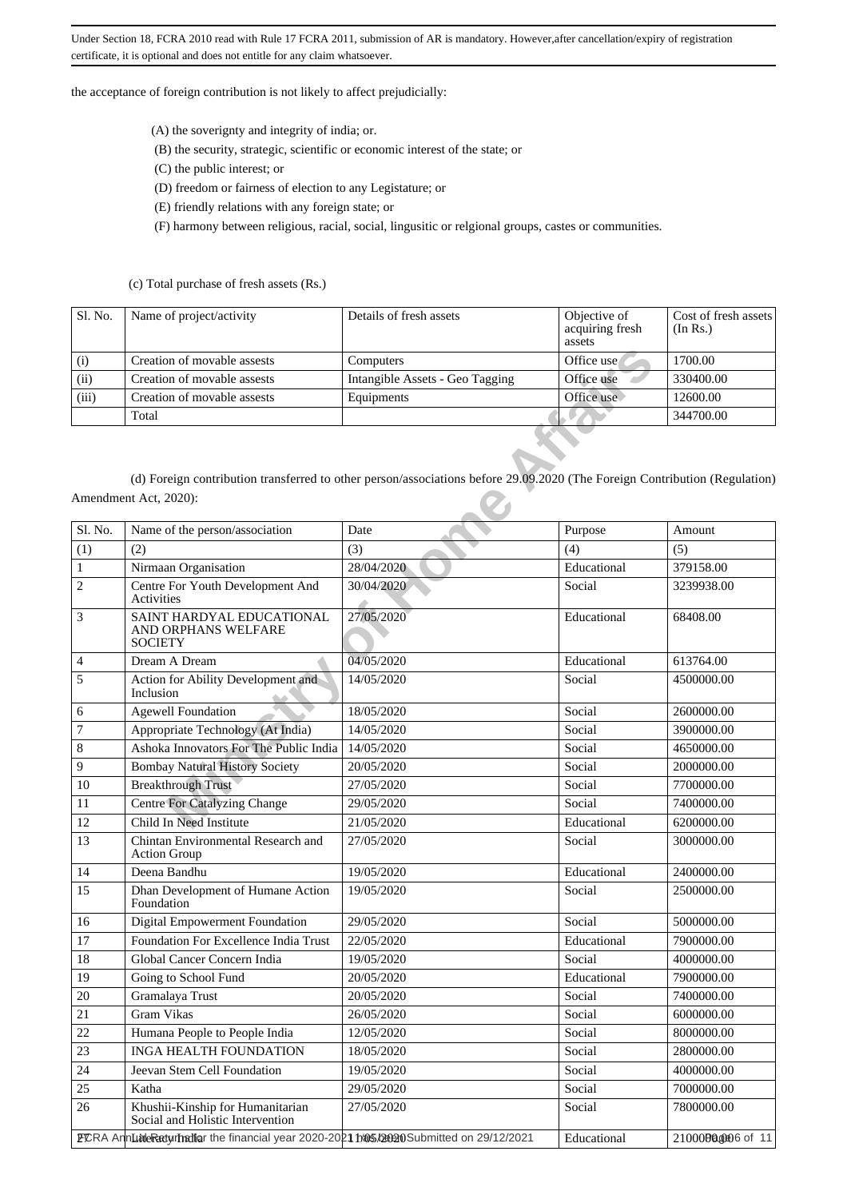the acceptance of foreign contribution is not likely to affect prejudicially:

(A) the soverignty and integrity of india; or.

- (B) the security, strategic, scientific or economic interest of the state; or
- (C) the public interest; or
- (D) freedom or fairness of election to any Legistature; or
- (E) friendly relations with any foreign state; or
- (F) harmony between religious, racial, social, lingusitic or relgional groups, castes or communities.

(c) Total purchase of fresh assets (Rs.)

| Sl. No. | Name of project/activity    | Details of fresh assets         | Objective of<br>acquiring fresh<br>assets | Cost of fresh assets<br>(In Rs.) |
|---------|-----------------------------|---------------------------------|-------------------------------------------|----------------------------------|
| (i)     | Creation of movable assests | Computers                       | Office use                                | 1700.00                          |
| (ii)    | Creation of movable assests | Intangible Assets - Geo Tagging | Office use                                | 330400.00                        |
| (iii)   | Creation of movable assests | Equipments                      | Office use                                | 12600.00                         |
|         | Total                       |                                 |                                           | 344700.00                        |

| (i)          | Creation of movable assests                                                            | Computers                                                                                                                  | Office use  | 1700.00           |
|--------------|----------------------------------------------------------------------------------------|----------------------------------------------------------------------------------------------------------------------------|-------------|-------------------|
| (ii)         | Creation of movable assests                                                            | Intangible Assets - Geo Tagging                                                                                            | Office use  | 330400.00         |
| (iii)        | Creation of movable assests                                                            | Equipments                                                                                                                 | Office use  | 12600.00          |
|              | Total                                                                                  |                                                                                                                            |             | 344700.00         |
|              | Amendment Act, 2020):                                                                  | (d) Foreign contribution transferred to other person/associations before 29.09.2020 (The Foreign Contribution (Regulation) |             |                   |
| Sl. No.      | Name of the person/association                                                         | Date                                                                                                                       | Purpose     | Amount            |
| (1)          | (2)                                                                                    | (3)                                                                                                                        | (4)         | (5)               |
| $\mathbf{1}$ | Nirmaan Organisation                                                                   | 28/04/2020                                                                                                                 | Educational | 379158.00         |
| 2            | Centre For Youth Development And<br>Activities                                         | 30/04/2020                                                                                                                 | Social      | 3239938.00        |
| 3            | SAINT HARDYAL EDUCATIONAL<br>AND ORPHANS WELFARE<br><b>SOCIETY</b>                     | 27/05/2020                                                                                                                 | Educational | 68408.00          |
| 4            | Dream A Dream                                                                          | 04/05/2020                                                                                                                 | Educational | 613764.00         |
| 5            | Action for Ability Development and<br>Inclusion                                        | 14/05/2020                                                                                                                 | Social      | 4500000.00        |
| 6            | <b>Agewell Foundation</b>                                                              | 18/05/2020                                                                                                                 | Social      | 2600000.00        |
| 7            | Appropriate Technology (At India)                                                      | 14/05/2020                                                                                                                 | Social      | 3900000.00        |
| 8            | Ashoka Innovators For The Public India                                                 | 14/05/2020                                                                                                                 | Social      | 4650000.00        |
| 9            | <b>Bombay Natural History Society</b>                                                  | 20/05/2020                                                                                                                 | Social      | 2000000.00        |
| 10           | <b>Breakthrough Trust</b>                                                              | 27/05/2020                                                                                                                 | Social      | 7700000.00        |
| 11           | <b>Centre For Catalyzing Change</b>                                                    | 29/05/2020                                                                                                                 | Social      | 7400000.00        |
| 12           | Child In Need Institute                                                                | 21/05/2020                                                                                                                 | Educational | 6200000.00        |
| 13           | Chintan Environmental Research and<br>Action Group                                     | 27/05/2020                                                                                                                 | Social      | 3000000.00        |
| 14           | Deena Bandhu                                                                           | 19/05/2020                                                                                                                 | Educational | 2400000.00        |
| 15           | Dhan Development of Humane Action<br>Foundation                                        | 19/05/2020                                                                                                                 | Social      | 2500000.00        |
| 16           | Digital Empowerment Foundation                                                         | 29/05/2020                                                                                                                 | Social      | 5000000.00        |
| 17           | Foundation For Excellence India Trust                                                  | 22/05/2020                                                                                                                 | Educational | 7900000.00        |
| 18           | Global Cancer Concern India                                                            | 19/05/2020                                                                                                                 | Social      | 4000000.00        |
| 19           | Going to School Fund                                                                   | 20/05/2020                                                                                                                 | Educational | 7900000.00        |
| 20           | Gramalaya Trust                                                                        | 20/05/2020                                                                                                                 | Social      | 7400000.00        |
| 21           | Gram Vikas                                                                             | 26/05/2020                                                                                                                 | Social      | 6000000.00        |
| 22           | Humana People to People India                                                          | 12/05/2020                                                                                                                 | Social      | 8000000.00        |
| 23           | <b>INGA HEALTH FOUNDATION</b>                                                          | 18/05/2020                                                                                                                 | Social      | 2800000.00        |
| 24           | Jeevan Stem Cell Foundation                                                            | 19/05/2020                                                                                                                 | Social      | 4000000.00        |
| 25           | Katha                                                                                  | 29/05/2020                                                                                                                 | Social      | 7000000.00        |
| 26           | Khushii-Kinship for Humanitarian<br>Social and Holistic Intervention                   | 27/05/2020                                                                                                                 | Social      | 7800000.00        |
|              | PCRA AnnLuideReturnation the financial year 2020-2021 h@5.00020Submitted on 29/12/2021 |                                                                                                                            | Educational | 21000000006 of 11 |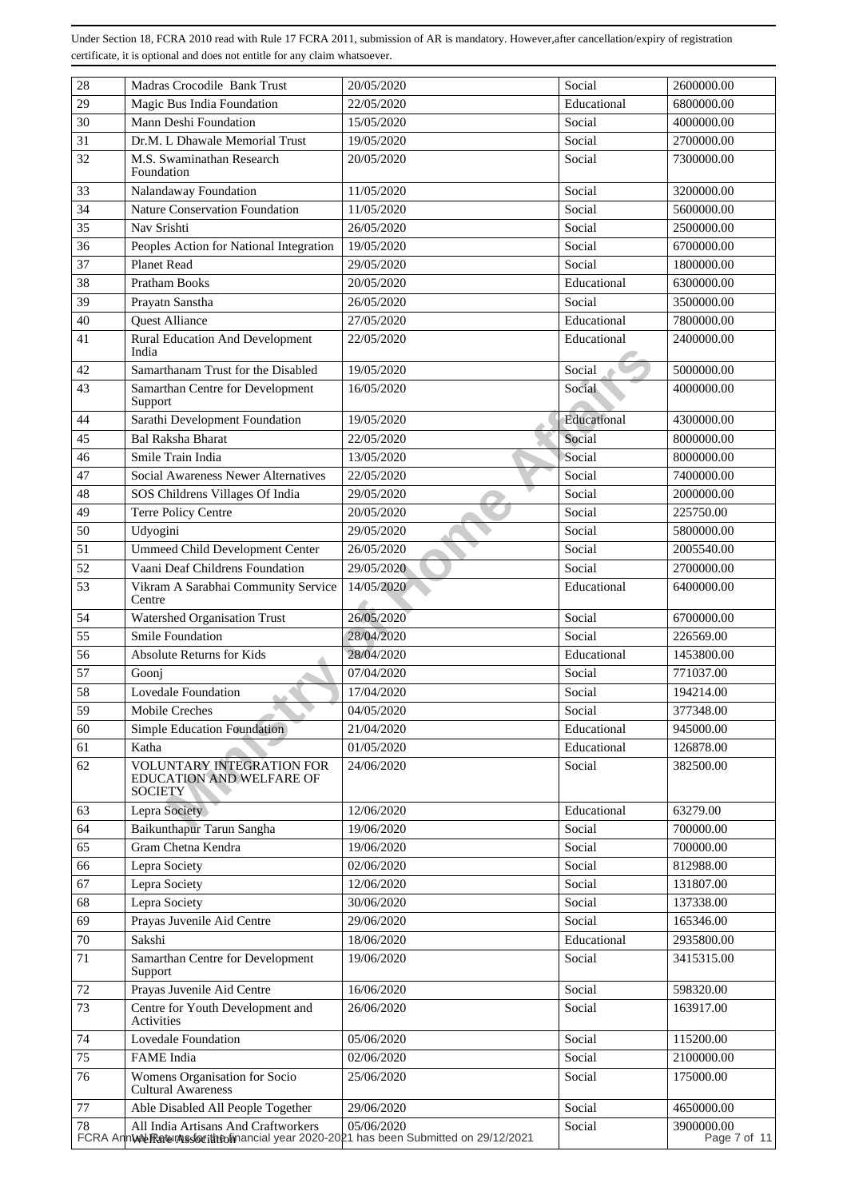| 28     | Madras Crocodile Bank Trust                                                                                                  | 20/05/2020 | Social      | 2600000.00                 |
|--------|------------------------------------------------------------------------------------------------------------------------------|------------|-------------|----------------------------|
| 29     | Magic Bus India Foundation                                                                                                   | 22/05/2020 | Educational | 6800000.00                 |
| 30     | Mann Deshi Foundation                                                                                                        | 15/05/2020 | Social      | 4000000.00                 |
| 31     | Dr.M. L Dhawale Memorial Trust                                                                                               | 19/05/2020 | Social      | 2700000.00                 |
| 32     | M.S. Swaminathan Research                                                                                                    | 20/05/2020 | Social      | 7300000.00                 |
|        | Foundation                                                                                                                   |            |             |                            |
| 33     | Nalandaway Foundation                                                                                                        | 11/05/2020 | Social      | 3200000.00                 |
| 34     | <b>Nature Conservation Foundation</b>                                                                                        | 11/05/2020 | Social      | 5600000.00                 |
| 35     | Nav Srishti                                                                                                                  | 26/05/2020 | Social      | 2500000.00                 |
| 36     | Peoples Action for National Integration                                                                                      | 19/05/2020 | Social      | 6700000.00                 |
| 37     | Planet Read                                                                                                                  | 29/05/2020 | Social      | 1800000.00                 |
| 38     | <b>Pratham Books</b>                                                                                                         | 20/05/2020 | Educational | 6300000.00                 |
| 39     | Prayatn Sanstha                                                                                                              | 26/05/2020 | Social      | 3500000.00                 |
| 40     | <b>Quest Alliance</b>                                                                                                        | 27/05/2020 | Educational | 7800000.00                 |
| 41     | <b>Rural Education And Development</b><br>India                                                                              | 22/05/2020 | Educational | 2400000.00                 |
| 42     | Samarthanam Trust for the Disabled                                                                                           | 19/05/2020 | Social      | 5000000.00                 |
| 43     | Samarthan Centre for Development                                                                                             | 16/05/2020 | Social      | 4000000.00                 |
| 44     | Support<br>Sarathi Development Foundation                                                                                    | 19/05/2020 | Educational | 4300000.00                 |
| 45     | <b>Bal Raksha Bharat</b>                                                                                                     | 22/05/2020 | Social      | 8000000.00                 |
| 46     | Smile Train India                                                                                                            | 13/05/2020 | Social      | 8000000.00                 |
|        | Social Awareness Newer Alternatives                                                                                          |            | Social      |                            |
| 47     |                                                                                                                              | 22/05/2020 |             | 7400000.00                 |
| 48     | SOS Childrens Villages Of India                                                                                              | 29/05/2020 | Social      | 2000000.00                 |
| 49     | Terre Policy Centre                                                                                                          | 20/05/2020 | Social      | 225750.00                  |
| 50     | Udyogini                                                                                                                     | 29/05/2020 | Social      | 5800000.00                 |
| 51     | <b>Ummeed Child Development Center</b>                                                                                       | 26/05/2020 | Social      | 2005540.00                 |
| 52     | Vaani Deaf Childrens Foundation                                                                                              | 29/05/2020 | Social      | 2700000.00                 |
| 53     | Vikram A Sarabhai Community Service<br>Centre                                                                                | 14/05/2020 | Educational | 6400000.00                 |
| 54     | Watershed Organisation Trust                                                                                                 | 26/05/2020 | Social      | 6700000.00                 |
| 55     | <b>Smile Foundation</b>                                                                                                      | 28/04/2020 | Social      | 226569.00                  |
| 56     | Absolute Returns for Kids                                                                                                    | 28/04/2020 | Educational | 1453800.00                 |
| 57     | Goonj                                                                                                                        | 07/04/2020 | Social      | 771037.00                  |
| 58     | Lovedale Foundation                                                                                                          | 17/04/2020 | Social      | 194214.00                  |
| 59     | Mobile Creches                                                                                                               | 04/05/2020 | Social      | 377348.00                  |
| 60     | <b>Simple Education Foundation</b>                                                                                           | 21/04/2020 | Educational | 945000.00                  |
| 61     | Katha                                                                                                                        | 01/05/2020 | Educational | 126878.00                  |
| 62     | VOLUNTARY INTEGRATION FOR<br>EDUCATION AND WELFARE OF<br><b>SOCIETY</b>                                                      | 24/06/2020 | Social      | 382500.00                  |
| 63     | Lepra Society                                                                                                                | 12/06/2020 | Educational | 63279.00                   |
| 64     | Baikunthapur Tarun Sangha                                                                                                    | 19/06/2020 | Social      | 700000.00                  |
| 65     | Gram Chetna Kendra                                                                                                           | 19/06/2020 | Social      | 700000.00                  |
| 66     | Lepra Society                                                                                                                | 02/06/2020 | Social      | 812988.00                  |
| 67     | Lepra Society                                                                                                                | 12/06/2020 | Social      | 131807.00                  |
| 68     | Lepra Society                                                                                                                | 30/06/2020 | Social      | 137338.00                  |
| 69     | Prayas Juvenile Aid Centre                                                                                                   | 29/06/2020 | Social      | 165346.00                  |
| $70\,$ | Sakshi                                                                                                                       | 18/06/2020 | Educational | 2935800.00                 |
| $71\,$ | Samarthan Centre for Development                                                                                             | 19/06/2020 | Social      | 3415315.00                 |
| 72     | Support<br>Prayas Juvenile Aid Centre                                                                                        | 16/06/2020 | Social      | 598320.00                  |
|        |                                                                                                                              |            |             |                            |
| 73     | Centre for Youth Development and<br>Activities                                                                               | 26/06/2020 | Social      | 163917.00                  |
| 74     | Lovedale Foundation                                                                                                          | 05/06/2020 | Social      | 115200.00                  |
| 75     | FAME India                                                                                                                   | 02/06/2020 | Social      | 2100000.00                 |
| 76     | Womens Organisation for Socio<br>Cultural Awareness                                                                          | 25/06/2020 | Social      | 175000.00                  |
| $77\,$ | Able Disabled All People Together                                                                                            | 29/06/2020 | Social      | 4650000.00                 |
| 78     | All India Artisans And Craftworkers<br>FCRA AnnWal RaturAs for throlinancial year 2020-2021 has been Submitted on 29/12/2021 | 05/06/2020 | Social      | 3900000.00<br>Page 7 of 11 |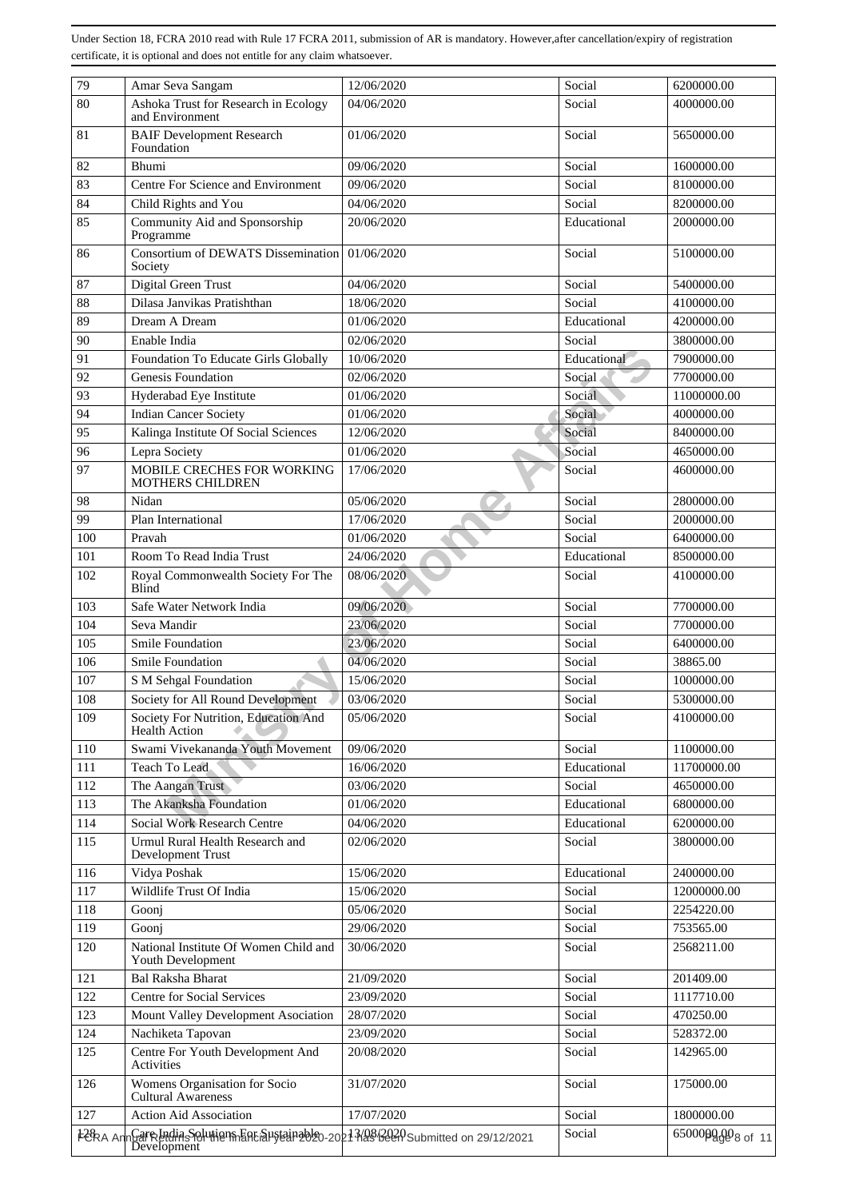| 79       | Amar Seva Sangam                                                                    | 12/06/2020 | Social      | 6200000.00      |
|----------|-------------------------------------------------------------------------------------|------------|-------------|-----------------|
| 80       | Ashoka Trust for Research in Ecology<br>and Environment                             | 04/06/2020 | Social      | 4000000.00      |
| 81       | <b>BAIF Development Research</b><br>Foundation                                      | 01/06/2020 | Social      | 5650000.00      |
| 82       | Bhumi                                                                               | 09/06/2020 | Social      | 1600000.00      |
| 83       | Centre For Science and Environment                                                  | 09/06/2020 | Social      | 8100000.00      |
| 84       | Child Rights and You                                                                | 04/06/2020 | Social      | 8200000.00      |
| 85       | Community Aid and Sponsorship<br>Programme                                          | 20/06/2020 | Educational | 2000000.00      |
| 86       | Consortium of DEWATS Dissemination<br>Society                                       | 01/06/2020 | Social      | 5100000.00      |
| 87       | Digital Green Trust                                                                 | 04/06/2020 | Social      | 5400000.00      |
| 88       | Dilasa Janvikas Pratishthan                                                         | 18/06/2020 | Social      | 4100000.00      |
| 89       | Dream A Dream                                                                       | 01/06/2020 | Educational | 4200000.00      |
| 90       | Enable India                                                                        | 02/06/2020 | Social      | 3800000.00      |
| 91       | Foundation To Educate Girls Globally                                                | 10/06/2020 | Educational | 7900000.00      |
| 92       | <b>Genesis Foundation</b>                                                           | 02/06/2020 | Social      | 7700000.00      |
| 93       | Hyderabad Eye Institute                                                             | 01/06/2020 | Social      | 11000000.00     |
| 94       | <b>Indian Cancer Society</b>                                                        | 01/06/2020 | Social      | 4000000.00      |
| 95       | Kalinga Institute Of Social Sciences                                                | 12/06/2020 | Social      | 8400000.00      |
| 96       | Lepra Society                                                                       | 01/06/2020 | Social      | 4650000.00      |
| 97       | MOBILE CRECHES FOR WORKING                                                          | 17/06/2020 | Social      | 4600000.00      |
|          | <b>MOTHERS CHILDREN</b>                                                             |            |             |                 |
| 98       | Nidan                                                                               | 05/06/2020 | Social      | 2800000.00      |
| 99       | Plan International                                                                  | 17/06/2020 | Social      | 2000000.00      |
| 100      | Pravah                                                                              | 01/06/2020 | Social      | 6400000.00      |
| 101      | Room To Read India Trust                                                            | 24/06/2020 | Educational | 8500000.00      |
| 102      | Royal Commonwealth Society For The<br>Blind                                         | 08/06/2020 | Social      | 4100000.00      |
| 103      | Safe Water Network India                                                            | 09/06/2020 | Social      | 7700000.00      |
| 104      | Seva Mandir                                                                         | 23/06/2020 | Social      | 7700000.00      |
| 105      | Smile Foundation                                                                    | 23/06/2020 | Social      | 6400000.00      |
| 106      | <b>Smile Foundation</b>                                                             | 04/06/2020 | Social      | 38865.00        |
| 107      | S M Sehgal Foundation                                                               | 15/06/2020 | Social      | 1000000.00      |
| 108      | Society for All Round Development                                                   | 03/06/2020 | Social      | 5300000.00      |
| 109      | Society For Nutrition, Education And<br><b>Health Action</b>                        | 05/06/2020 | Social      | 4100000.00      |
| 110      | Swami Vivekananda Youth Movement                                                    | 09/06/2020 | Social      | 1100000.00      |
| 111      | Teach To Lead                                                                       | 16/06/2020 | Educational | 11700000.00     |
| 112      | The Aangan Trust                                                                    | 03/06/2020 | Social      | 4650000.00      |
| 113      | The Akanksha Foundation                                                             | 01/06/2020 | Educational | 6800000.00      |
| 114      | <b>Social Work Research Centre</b>                                                  | 04/06/2020 | Educational | 6200000.00      |
| 115      | Urmul Rural Health Research and<br>Development Trust                                | 02/06/2020 | Social      | 3800000.00      |
| 116      | Vidya Poshak                                                                        | 15/06/2020 | Educational | 2400000.00      |
| 117      | Wildlife Trust Of India                                                             | 15/06/2020 | Social      | 12000000.00     |
| 118      | Goonj                                                                               | 05/06/2020 | Social      | 2254220.00      |
| 119      | Goonj                                                                               | 29/06/2020 | Social      | 753565.00       |
| 120      | National Institute Of Women Child and<br>Youth Development                          | 30/06/2020 | Social      | 2568211.00      |
| 121      | <b>Bal Raksha Bharat</b>                                                            | 21/09/2020 | Social      | 201409.00       |
| 122      | <b>Centre for Social Services</b>                                                   | 23/09/2020 | Social      | 1117710.00      |
| 123      | Mount Valley Development Asociation                                                 | 28/07/2020 | Social      | 470250.00       |
| 124      | Nachiketa Tapovan                                                                   | 23/09/2020 | Social      | 528372.00       |
| 125      | Centre For Youth Development And                                                    | 20/08/2020 | Social      | 142965.00       |
|          | Activities                                                                          |            |             |                 |
| 126      | Womens Organisation for Socio<br><b>Cultural Awareness</b>                          | 31/07/2020 | Social      | 175000.00       |
| 127      | Action Aid Association                                                              | 17/07/2020 | Social      | 1800000.00      |
| FCRA Ani | Gare India Solution Facal 19820-2021 1086220 Submitted on 29/12/2021<br>Development |            | Social      | 650000000088011 |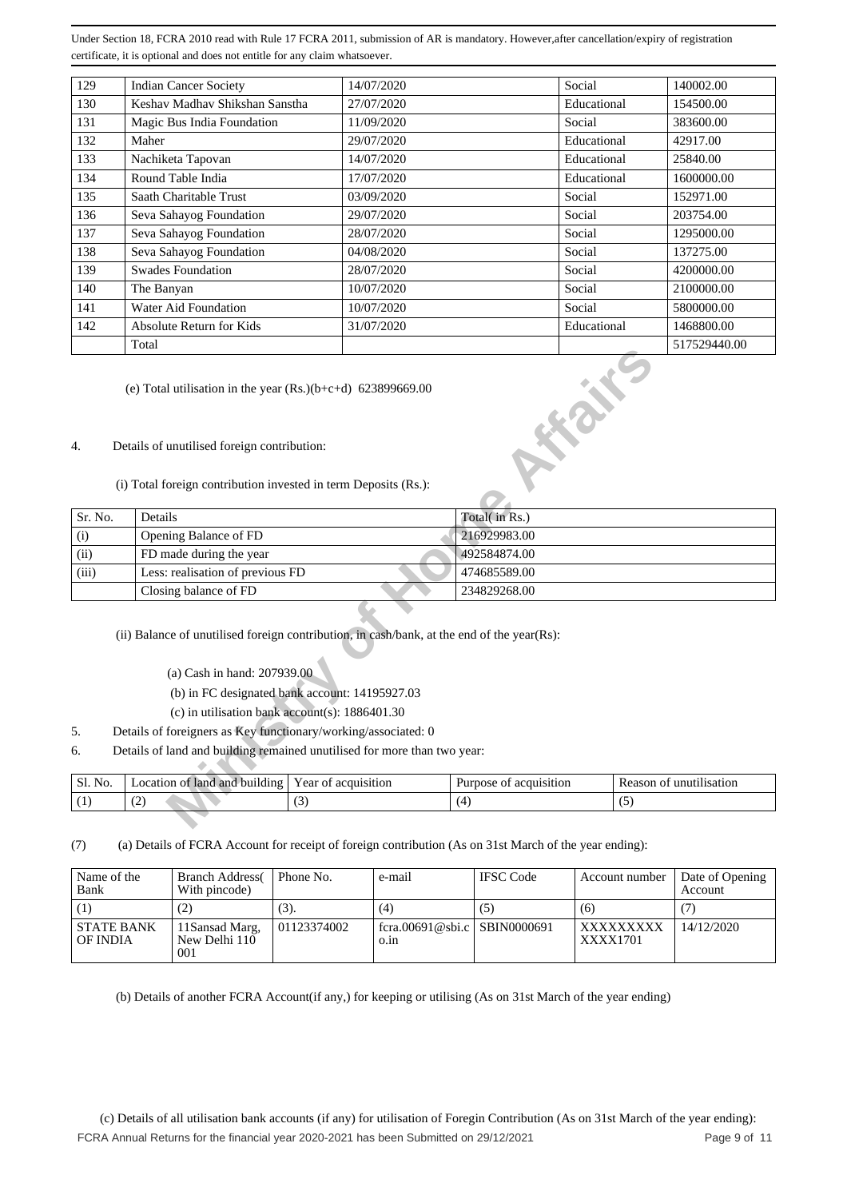| 129 | <b>Indian Cancer Society</b>   | 14/07/2020 | Social      | 140002.00    |
|-----|--------------------------------|------------|-------------|--------------|
| 130 | Keshav Madhav Shikshan Sanstha | 27/07/2020 | Educational | 154500.00    |
| 131 | Magic Bus India Foundation     | 11/09/2020 | Social      | 383600.00    |
| 132 | Maher                          | 29/07/2020 | Educational | 42917.00     |
| 133 | Nachiketa Tapovan              | 14/07/2020 | Educational | 25840.00     |
| 134 | Round Table India              | 17/07/2020 | Educational | 1600000.00   |
| 135 | Saath Charitable Trust         | 03/09/2020 | Social      | 152971.00    |
| 136 | Seva Sahayog Foundation        | 29/07/2020 | Social      | 203754.00    |
| 137 | Seva Sahayog Foundation        | 28/07/2020 | Social      | 1295000.00   |
| 138 | Seva Sahayog Foundation        | 04/08/2020 | Social      | 137275.00    |
| 139 | <b>Swades Foundation</b>       | 28/07/2020 | Social      | 4200000.00   |
| 140 | The Banyan                     | 10/07/2020 | Social      | 2100000.00   |
| 141 | Water Aid Foundation           | 10/07/2020 | Social      | 5800000.00   |
| 142 | Absolute Return for Kids       | 31/07/2020 | Educational | 1468800.00   |
|     | Total                          |            |             | 517529440.00 |

#### 4. Details of unutilised foreign contribution:

|                              | Total                                                                                                                     |                                                |                        |     | 517529440.00            |  |  |  |  |
|------------------------------|---------------------------------------------------------------------------------------------------------------------------|------------------------------------------------|------------------------|-----|-------------------------|--|--|--|--|
|                              | <b>RECTION</b><br>(e) Total utilisation in the year $(Rs.)(b+c+d)$ 623899669.00                                           |                                                |                        |     |                         |  |  |  |  |
| 4.                           | Details of unutilised foreign contribution:                                                                               |                                                |                        |     |                         |  |  |  |  |
|                              | (i) Total foreign contribution invested in term Deposits (Rs.):                                                           |                                                |                        |     |                         |  |  |  |  |
| Sr. No.                      | Details                                                                                                                   |                                                | Total(in Rs.)          |     |                         |  |  |  |  |
| Opening Balance of FD<br>(i) |                                                                                                                           |                                                | 216929983.00           |     |                         |  |  |  |  |
| (ii)                         | FD made during the year                                                                                                   |                                                |                        |     |                         |  |  |  |  |
| (iii)                        | Less: realisation of previous FD                                                                                          |                                                | 474685589.00           |     |                         |  |  |  |  |
|                              | Closing balance of FD                                                                                                     |                                                | 234829268.00           |     |                         |  |  |  |  |
|                              | (ii) Balance of unutilised foreign contribution, in cash/bank, at the end of the year(Rs):<br>(a) Cash in hand: 207939.00 |                                                |                        |     |                         |  |  |  |  |
|                              |                                                                                                                           | (b) in FC designated bank account: 14195927.03 |                        |     |                         |  |  |  |  |
|                              | (c) in utilisation bank account(s): $1886401.30$                                                                          |                                                |                        |     |                         |  |  |  |  |
| 5.                           | Details of foreigners as Key functionary/working/associated: 0                                                            |                                                |                        |     |                         |  |  |  |  |
| 6.                           | Details of land and building remained unutilised for more than two year:                                                  |                                                |                        |     |                         |  |  |  |  |
| Sl. No.                      | Location of land and building                                                                                             | Year of acquisition                            | Purpose of acquisition |     | Reason of unutilisation |  |  |  |  |
| (1)                          | (2)                                                                                                                       | (3)                                            | (4)                    | (5) |                         |  |  |  |  |
|                              |                                                                                                                           |                                                |                        |     |                         |  |  |  |  |

- (a) Cash in hand: 207939.00
- (b) in FC designated bank account: 14195927.03
- (c) in utilisation bank account(s): 1886401.30
- 5. Details of foreigners as Key functionary/working/associated: 0
- 6. Details of land and building remained unutilised for more than two year:

| No.<br>OI. | $\mathbf{H}$<br>anc<br>ot lang<br>ıldıns<br>ocation<br>∕nv | ear<br><b>cauisition</b><br>O1    | acquisition<br>ose<br>11FD0<br>$\mathbf{O}$ | eason<br>unutilisation<br>7 N L |
|------------|------------------------------------------------------------|-----------------------------------|---------------------------------------------|---------------------------------|
|            | ہ                                                          | $\overline{\phantom{a}}$<br>. J . |                                             |                                 |

(7) (a) Details of FCRA Account for receipt of foreign contribution (As on 31st March of the year ending):

| Name of the<br>Bank           | <b>Branch Address</b><br>With pincode)  | Phone No.   | e-mail                               | <b>IFSC</b> Code | Account number        | Date of Opening<br>Account |
|-------------------------------|-----------------------------------------|-------------|--------------------------------------|------------------|-----------------------|----------------------------|
|                               | (2)                                     | (3).        | (4)                                  | (5)              | (6)                   |                            |
| <b>STATE BANK</b><br>OF INDIA | 11 Sansad Marg,<br>New Delhi 110<br>001 | 01123374002 | fcra.00691@sbi.c SBIN0000691<br>0.1n |                  | XXXXXXXXX<br>XXXX1701 | 14/12/2020                 |

(b) Details of another FCRA Account(if any,) for keeping or utilising (As on 31st March of the year ending)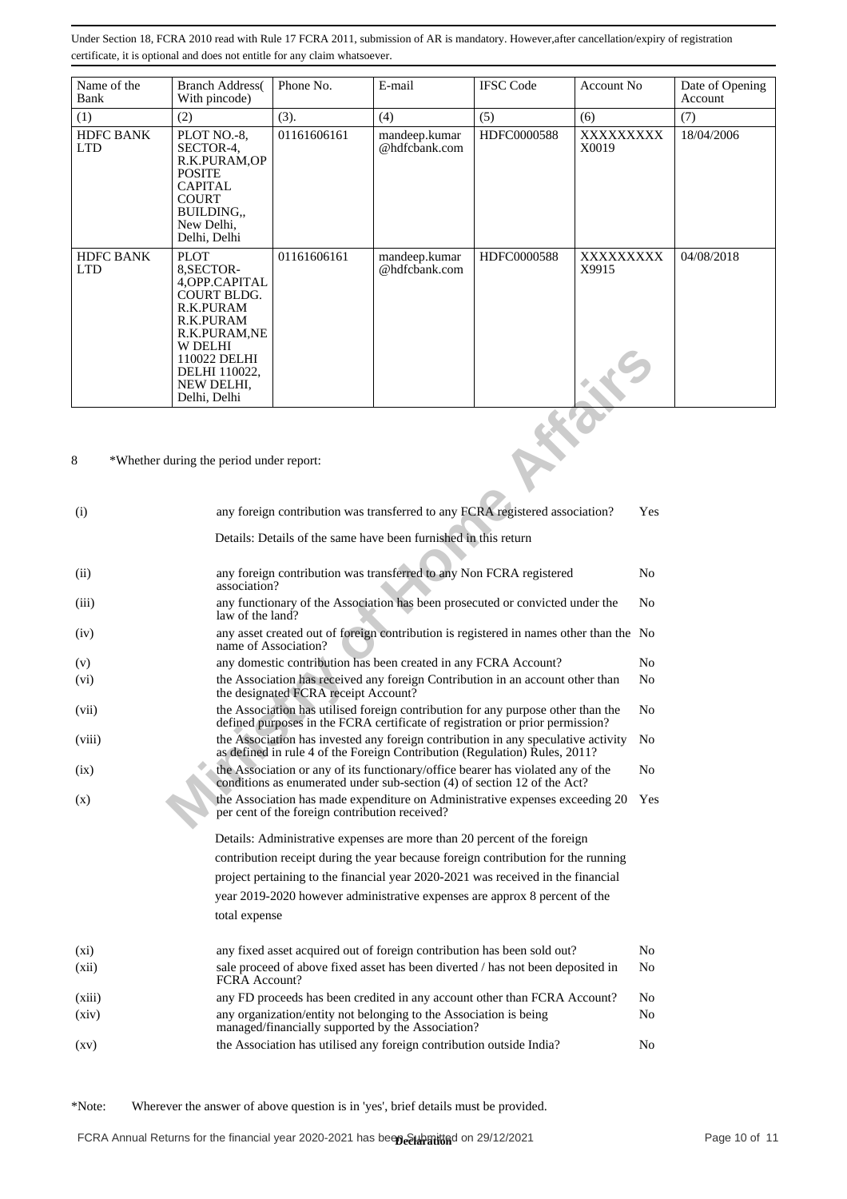| Name of the<br>Bank            | <b>Branch Address</b><br>With pincode)                                                                                                                                                        | Phone No.   | E-mail                         | <b>IFSC Code</b> | Account No.        | Date of Opening<br>Account |
|--------------------------------|-----------------------------------------------------------------------------------------------------------------------------------------------------------------------------------------------|-------------|--------------------------------|------------------|--------------------|----------------------------|
| (1)                            | (2)                                                                                                                                                                                           | (3).        | (4)                            | (5)              | (6)                | (7)                        |
| <b>HDFC BANK</b><br><b>LTD</b> | PLOT NO.-8,<br>SECTOR-4,<br>R.K.PURAM,OP<br><b>POSITE</b><br><b>CAPITAL</b><br><b>COURT</b><br>BUILDING<br>New Delhi,<br>Delhi, Delhi                                                         | 01161606161 | mandeep.kumar<br>@hdfcbank.com | HDFC0000588      | XXXXXXXX<br>X0019  | 18/04/2006                 |
| <b>HDFC BANK</b><br><b>LTD</b> | <b>PLOT</b><br>8, SECTOR-<br>4, OPP. CAPITAL<br><b>COURT BLDG.</b><br>R.K.PURAM<br>R.K.PURAM<br>R.K.PURAM,NE<br><b>W DELHI</b><br>110022 DELHI<br>DELHI 110022,<br>NEW DELHI.<br>Delhi, Delhi | 01161606161 | mandeep.kumar<br>@hdfcbank.com | HDFC0000588      | XXXXXXXXX<br>X9915 | 04/08/2018                 |

|                    | VY LJELIII<br>110022 DELHI<br>DELHI 110022,<br>NEW DELHI,<br>Delhi, Delhi                             |                                                                                                                                                                                   |                                                                                                                        |                                                                                   |  |                |  |  |
|--------------------|-------------------------------------------------------------------------------------------------------|-----------------------------------------------------------------------------------------------------------------------------------------------------------------------------------|------------------------------------------------------------------------------------------------------------------------|-----------------------------------------------------------------------------------|--|----------------|--|--|
| 8                  | *Whether during the period under report:                                                              |                                                                                                                                                                                   |                                                                                                                        |                                                                                   |  |                |  |  |
| (i)                | any foreign contribution was transferred to any FCRA registered association?                          |                                                                                                                                                                                   |                                                                                                                        |                                                                                   |  |                |  |  |
|                    |                                                                                                       | Details: Details of the same have been furnished in this return                                                                                                                   |                                                                                                                        |                                                                                   |  |                |  |  |
| (ii)               | any foreign contribution was transferred to any Non FCRA registered<br>N <sub>0</sub><br>association? |                                                                                                                                                                                   |                                                                                                                        |                                                                                   |  |                |  |  |
| (iii)              |                                                                                                       | any functionary of the Association has been prosecuted or convicted under the<br>No<br>law of the land?                                                                           |                                                                                                                        |                                                                                   |  |                |  |  |
| (iv)               |                                                                                                       | any asset created out of foreign contribution is registered in names other than the No<br>name of Association?                                                                    |                                                                                                                        |                                                                                   |  |                |  |  |
| (v)                |                                                                                                       | any domestic contribution has been created in any FCRA Account?<br>No                                                                                                             |                                                                                                                        |                                                                                   |  |                |  |  |
| (vi)               |                                                                                                       | the Association has received any foreign Contribution in an account other than<br>No<br>the designated FCRA receipt Account?                                                      |                                                                                                                        |                                                                                   |  |                |  |  |
| (vii)              |                                                                                                       | the Association has utilised foreign contribution for any purpose other than the<br>No<br>defined purposes in the FCRA certificate of registration or prior permission?           |                                                                                                                        |                                                                                   |  |                |  |  |
| (viii)             |                                                                                                       | the Association has invested any foreign contribution in any speculative activity<br>N <sub>0</sub><br>as defined in rule 4 of the Foreign Contribution (Regulation) Rules, 2011? |                                                                                                                        |                                                                                   |  |                |  |  |
| (ix)               |                                                                                                       | the Association or any of its functionary/office bearer has violated any of the<br>No<br>conditions as enumerated under sub-section (4) of section 12 of the Act?                 |                                                                                                                        |                                                                                   |  |                |  |  |
| (x)                |                                                                                                       | per cent of the foreign contribution received?                                                                                                                                    |                                                                                                                        | the Association has made expenditure on Administrative expenses exceeding 20      |  | Yes            |  |  |
|                    |                                                                                                       |                                                                                                                                                                                   |                                                                                                                        | Details: Administrative expenses are more than 20 percent of the foreign          |  |                |  |  |
|                    |                                                                                                       |                                                                                                                                                                                   |                                                                                                                        | contribution receipt during the year because foreign contribution for the running |  |                |  |  |
|                    |                                                                                                       |                                                                                                                                                                                   |                                                                                                                        | project pertaining to the financial year 2020-2021 was received in the financial  |  |                |  |  |
|                    |                                                                                                       |                                                                                                                                                                                   |                                                                                                                        | year 2019-2020 however administrative expenses are approx 8 percent of the        |  |                |  |  |
|                    | total expense                                                                                         |                                                                                                                                                                                   |                                                                                                                        |                                                                                   |  |                |  |  |
| $(x_i)$            |                                                                                                       |                                                                                                                                                                                   |                                                                                                                        | any fixed asset acquired out of foreign contribution has been sold out?           |  | N <sub>0</sub> |  |  |
| (xii)              | FCRA Account?                                                                                         |                                                                                                                                                                                   |                                                                                                                        | sale proceed of above fixed asset has been diverted / has not been deposited in   |  | N <sub>0</sub> |  |  |
| (xiii)             |                                                                                                       |                                                                                                                                                                                   |                                                                                                                        | any FD proceeds has been credited in any account other than FCRA Account?         |  | No             |  |  |
| (xiv)              |                                                                                                       |                                                                                                                                                                                   | any organization/entity not belonging to the Association is being<br>managed/financially supported by the Association? |                                                                                   |  | No             |  |  |
| $\left( xy\right)$ |                                                                                                       |                                                                                                                                                                                   | the Association has utilised any foreign contribution outside India?                                                   |                                                                                   |  | No             |  |  |

\*Note: Wherever the answer of above question is in 'yes', brief details must be provided.